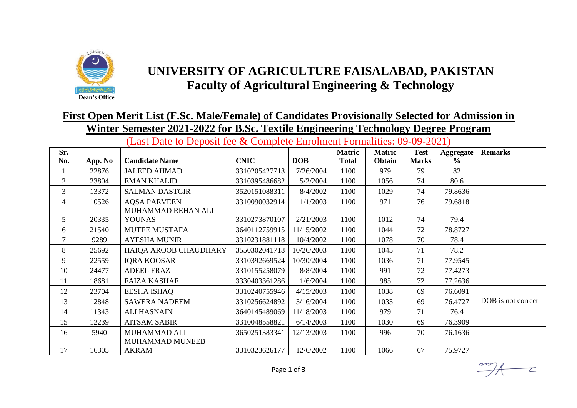

## **UNIVERSITY OF AGRICULTURE FAISALABAD, PAKISTAN Faculty of Agricultural Engineering & Technology**

## **First Open Merit List (F.Sc. Male/Female) of Candidates Provisionally Selected for Admission in Winter Semester 2021-2022 for B.Sc. Textile Engineering Technology Degree Program**

(Last Date to Deposit fee & Complete Enrolment Formalities: 09-09-2021)

| Sr.            |         |                                     |               |            | <b>Matric</b> | <b>Matric</b> | <b>Test</b>  | Aggregate     | <b>Remarks</b>     |
|----------------|---------|-------------------------------------|---------------|------------|---------------|---------------|--------------|---------------|--------------------|
| No.            | App. No | <b>Candidate Name</b>               | <b>CNIC</b>   | <b>DOB</b> | <b>Total</b>  | Obtain        | <b>Marks</b> | $\frac{6}{6}$ |                    |
|                | 22876   | <b>JALEED AHMAD</b>                 | 3310205427713 | 7/26/2004  | 1100          | 979           | 79           | 82            |                    |
| $\overline{2}$ | 23804   | <b>EMAN KHALID</b>                  | 3310395486682 | 5/2/2004   | 1100          | 1056          | 74           | 80.6          |                    |
| 3              | 13372   | <b>SALMAN DASTGIR</b>               | 3520151088311 | 8/4/2002   | 1100          | 1029          | 74           | 79.8636       |                    |
| $\overline{4}$ | 10526   | <b>AQSA PARVEEN</b>                 | 3310090032914 | 1/1/2003   | 1100          | 971           | 76           | 79.6818       |                    |
| 5              | 20335   | MUHAMMAD REHAN ALI<br><b>YOUNAS</b> | 3310273870107 | 2/21/2003  | 1100          | 1012          | 74           | 79.4          |                    |
| 6              | 21540   | <b>MUTEE MUSTAFA</b>                | 3640112759915 | 11/15/2002 | 1100          | 1044          | 72           | 78.8727       |                    |
| $\tau$         | 9289    | <b>AYESHA MUNIR</b>                 | 3310231881118 | 10/4/2002  | 1100          | 1078          | 70           | 78.4          |                    |
| 8              | 25692   | HAIQA AROOB CHAUDHARY               | 3550302041718 | 10/26/2003 | 1100          | 1045          | 71           | 78.2          |                    |
| 9              | 22559   | <b>IQRA KOOSAR</b>                  | 3310392669524 | 10/30/2004 | 1100          | 1036          | 71           | 77.9545       |                    |
| 10             | 24477   | <b>ADEEL FRAZ</b>                   | 3310155258079 | 8/8/2004   | 1100          | 991           | 72           | 77.4273       |                    |
| 11             | 18681   | <b>FAIZA KASHAF</b>                 | 3330403361286 | 1/6/2004   | 1100          | 985           | 72           | 77.2636       |                    |
| 12             | 23704   | <b>EESHA ISHAQ</b>                  | 3310240755946 | 4/15/2003  | 1100          | 1038          | 69           | 76.6091       |                    |
| 13             | 12848   | <b>SAWERA NADEEM</b>                | 3310256624892 | 3/16/2004  | 1100          | 1033          | 69           | 76.4727       | DOB is not correct |
| 14             | 11343   | <b>ALI HASNAIN</b>                  | 3640145489069 | 11/18/2003 | 1100          | 979           | 71           | 76.4          |                    |
| 15             | 12239   | <b>AITSAM SABIR</b>                 | 3310048558821 | 6/14/2003  | 1100          | 1030          | 69           | 76.3909       |                    |
| 16             | 5940    | MUHAMMAD ALI                        | 3650251383341 | 12/13/2003 | 1100          | 996           | 70           | 76.1636       |                    |
| 17             | 16305   | MUHAMMAD MUNEEB<br><b>AKRAM</b>     | 3310323626177 | 12/6/2002  | 1100          | 1066          | 67           | 75.9727       |                    |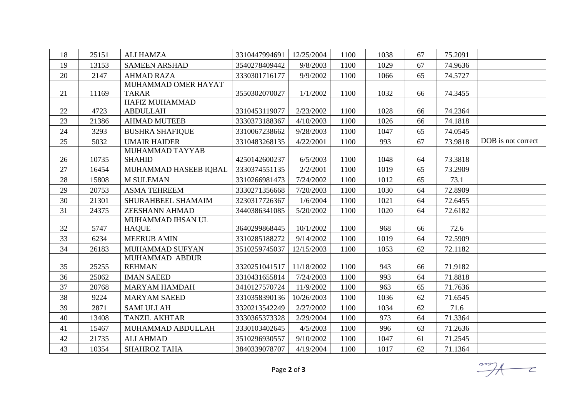| 18 | 25151 | <b>ALI HAMZA</b>                    | 3310447994691 | 12/25/2004 | 1100 | 1038 | 67 | 75.2091 |                    |
|----|-------|-------------------------------------|---------------|------------|------|------|----|---------|--------------------|
| 19 | 13153 | <b>SAMEEN ARSHAD</b>                | 3540278409442 | 9/8/2003   | 1100 | 1029 | 67 | 74.9636 |                    |
| 20 | 2147  | <b>AHMAD RAZA</b>                   | 3330301716177 | 9/9/2002   | 1100 | 1066 | 65 | 74.5727 |                    |
| 21 | 11169 | MUHAMMAD OMER HAYAT<br><b>TARAR</b> | 3550302070027 | 1/1/2002   | 1100 | 1032 | 66 | 74.3455 |                    |
|    |       | HAFIZ MUHAMMAD                      |               |            |      |      |    |         |                    |
| 22 | 4723  | <b>ABDULLAH</b>                     | 3310453119077 | 2/23/2002  | 1100 | 1028 | 66 | 74.2364 |                    |
| 23 | 21386 | <b>AHMAD MUTEEB</b>                 | 3330373188367 | 4/10/2003  | 1100 | 1026 | 66 | 74.1818 |                    |
| 24 | 3293  | <b>BUSHRA SHAFIQUE</b>              | 3310067238662 | 9/28/2003  | 1100 | 1047 | 65 | 74.0545 |                    |
| 25 | 5032  | <b>UMAIR HAIDER</b>                 | 3310483268135 | 4/22/2001  | 1100 | 993  | 67 | 73.9818 | DOB is not correct |
| 26 | 10735 | MUHAMMAD TAYYAB<br><b>SHAHID</b>    | 4250142600237 | 6/5/2003   | 1100 | 1048 | 64 | 73.3818 |                    |
| 27 | 16454 | MUHAMMAD HASEEB IQBAL               | 3330374551135 | 2/2/2001   | 1100 | 1019 | 65 | 73.2909 |                    |
| 28 | 15808 | <b>M SULEMAN</b>                    | 3310266981473 | 7/24/2002  | 1100 | 1012 | 65 | 73.1    |                    |
| 29 | 20753 | <b>ASMA TEHREEM</b>                 | 3330271356668 | 7/20/2003  | 1100 | 1030 | 64 | 72.8909 |                    |
| 30 | 21301 | SHURAHBEEL SHAMAIM                  | 3230317726367 | 1/6/2004   | 1100 | 1021 | 64 | 72.6455 |                    |
| 31 | 24375 | <b>ZEESHANN AHMAD</b>               | 3440386341085 | 5/20/2002  | 1100 | 1020 | 64 | 72.6182 |                    |
|    |       | MUHAMMAD IHSAN UL                   |               |            |      |      |    |         |                    |
| 32 | 5747  | <b>HAQUE</b>                        | 3640299868445 | 10/1/2002  | 1100 | 968  | 66 | 72.6    |                    |
| 33 | 6234  | <b>MEERUB AMIN</b>                  | 3310285188272 | 9/14/2002  | 1100 | 1019 | 64 | 72.5909 |                    |
| 34 | 26183 | MUHAMMAD SUFYAN                     | 3510259745037 | 12/15/2003 | 1100 | 1053 | 62 | 72.1182 |                    |
| 35 | 25255 | MUHAMMAD ABDUR<br><b>REHMAN</b>     | 3320251041517 | 11/18/2002 | 1100 | 943  | 66 | 71.9182 |                    |
| 36 | 25062 | <b>IMAN SAEED</b>                   | 3310431655814 | 7/24/2003  | 1100 | 993  | 64 | 71.8818 |                    |
| 37 | 20768 | <b>MARYAM HAMDAH</b>                | 3410127570724 | 11/9/2002  | 1100 | 963  | 65 | 71.7636 |                    |
| 38 | 9224  | <b>MARYAM SAEED</b>                 | 3310358390136 | 10/26/2003 | 1100 | 1036 | 62 | 71.6545 |                    |
| 39 | 2871  | <b>SAMI ULLAH</b>                   | 3320213542249 | 2/27/2002  | 1100 | 1034 | 62 | 71.6    |                    |
| 40 | 13408 | <b>TANZIL AKHTAR</b>                | 3330365373328 | 2/29/2004  | 1100 | 973  | 64 | 71.3364 |                    |
| 41 | 15467 | MUHAMMAD ABDULLAH                   | 3330103402645 | 4/5/2003   | 1100 | 996  | 63 | 71.2636 |                    |
| 42 | 21735 | <b>ALI AHMAD</b>                    | 3510296930557 | 9/10/2002  | 1100 | 1047 | 61 | 71.2545 |                    |
| 43 | 10354 | <b>SHAHROZ TAHA</b>                 | 3840339078707 | 4/19/2004  | 1100 | 1017 | 62 | 71.1364 |                    |

 $\frac{1}{\sqrt{1-\frac{1}{c}}}$